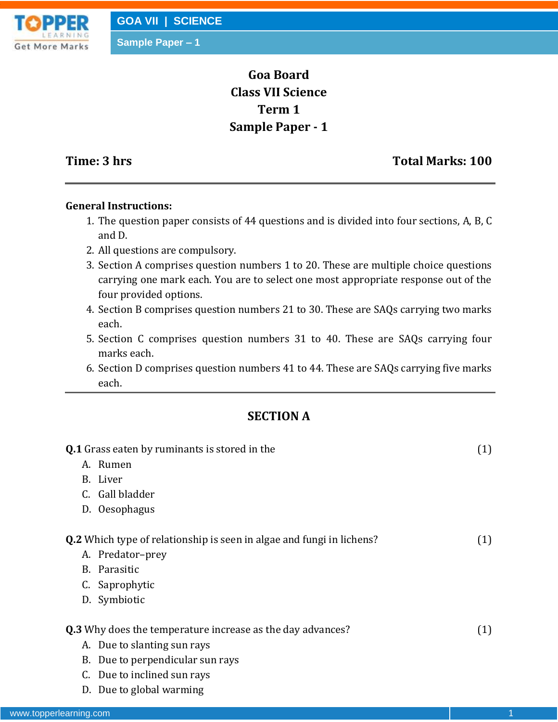# **Goa Board Class VII Science Term 1 Sample Paper - 1**

## **Time: 3 hrs** Total Marks: 100

#### **General Instructions:**

- 1. The question paper consists of 44 questions and is divided into four sections, A, B, C and D.
- 2. All questions are compulsory.
- 3. Section A comprises question numbers 1 to 20. These are multiple choice questions carrying one mark each. You are to select one most appropriate response out of the four provided options.
- 4. Section B comprises question numbers 21 to 30. These are SAQs carrying two marks each.
- 5. Section C comprises question numbers 31 to 40. These are SAQs carrying four marks each.
- 6. Section D comprises question numbers 41 to 44. These are SAQs carrying five marks each.

## **SECTION A**

| <b>Q.1</b> Grass eaten by ruminants is stored in the                         |     |
|------------------------------------------------------------------------------|-----|
| A. Rumen                                                                     |     |
| B. Liver                                                                     |     |
| C. Gall bladder                                                              |     |
| D. Oesophagus                                                                |     |
| <b>Q.2</b> Which type of relationship is seen in algae and fungi in lichens? | (1) |
| A. Predator-prey                                                             |     |
| B. Parasitic                                                                 |     |
| C. Saprophytic                                                               |     |
| D. Symbiotic                                                                 |     |
| <b>Q.3</b> Why does the temperature increase as the day advances?            | (1) |
| A. Due to slanting sun rays                                                  |     |
| B. Due to perpendicular sun rays                                             |     |
| C. Due to inclined sun rays                                                  |     |
| D. Due to global warming                                                     |     |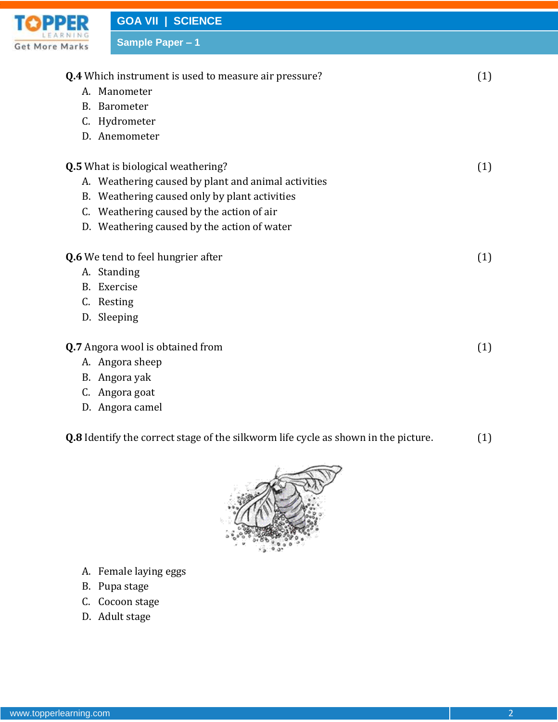|            | <b>GOA VII   SCIENCE</b>                                     |     |
|------------|--------------------------------------------------------------|-----|
| More Marks | Sample Paper - 1                                             |     |
|            |                                                              |     |
|            | <b>Q.4</b> Which instrument is used to measure air pressure? | (1) |
|            | A. Manometer                                                 |     |
|            | B. Barometer                                                 |     |
| C.         | Hydrometer                                                   |     |
|            | D. Anemometer                                                |     |
|            | <b>Q.5</b> What is biological weathering?                    | (1) |
|            | A. Weathering caused by plant and animal activities          |     |
|            | B. Weathering caused only by plant activities                |     |
|            | C. Weathering caused by the action of air                    |     |
|            | D. Weathering caused by the action of water                  |     |
|            | Q.6 We tend to feel hungrier after                           | (1) |
|            | A. Standing                                                  |     |
|            | B. Exercise                                                  |     |
|            | C. Resting                                                   |     |
|            | D. Sleeping                                                  |     |
|            | Q.7 Angora wool is obtained from                             | (1) |
|            | A. Angora sheep                                              |     |
|            | B. Angora yak                                                |     |
| C.         | Angora goat                                                  |     |
|            | D. Angora camel                                              |     |

| <b>Q.8</b> Identify the correct stage of the silkworm life cycle as shown in the picture. |  | (1) |
|-------------------------------------------------------------------------------------------|--|-----|
|                                                                                           |  |     |



- A. Female laying eggs
- B. Pupa stage
- C. Cocoon stage
- D. Adult stage

ТC

Get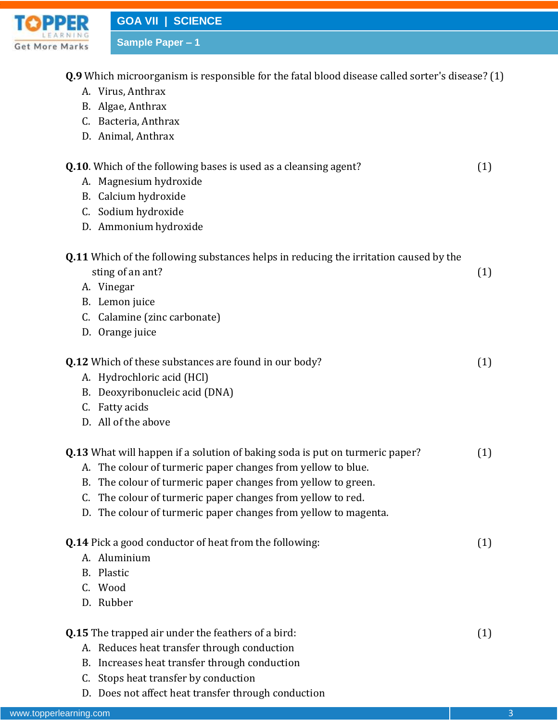**TOPPER Get More Marks** 

**Q.9** Which microorganism is responsible for the fatal blood disease called sorter's disease? (1)

- A. Virus, Anthrax
- B. Algae, Anthrax
- C. Bacteria, Anthrax
- D. Animal, Anthrax

| (1) |
|-----|
|     |
|     |
|     |
|     |
| (1) |
|     |
|     |
|     |
|     |
| (1) |
|     |
|     |
|     |
|     |
|     |
| (1) |
|     |
|     |
|     |
|     |
| (1) |
|     |
|     |
|     |

D. Does not affect heat transfer through conduction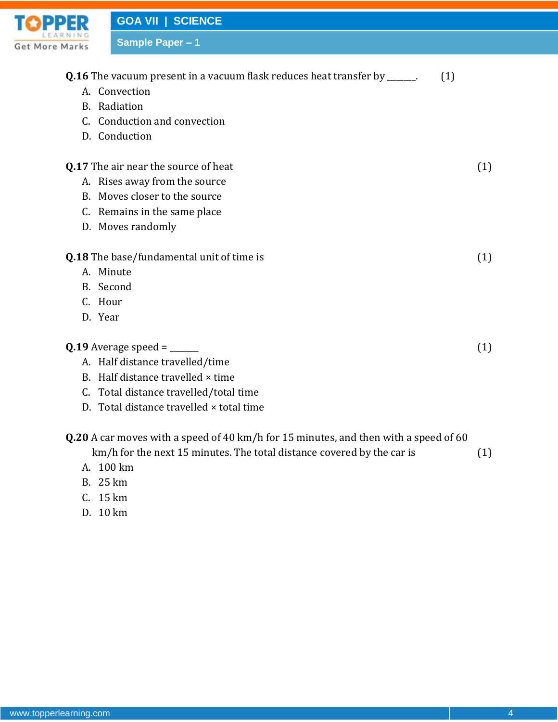

**GOA VII | SCIENCE**

**Sample Paper – 1**

|    | <b>Q.16</b> The vacuum present in a vacuum flask reduces heat transfer by ______.<br>(1)    |     |
|----|---------------------------------------------------------------------------------------------|-----|
|    | A. Convection                                                                               |     |
| B. | Radiation                                                                                   |     |
|    | C. Conduction and convection                                                                |     |
|    | D. Conduction                                                                               |     |
|    | <b>Q.17</b> The air near the source of heat                                                 | (1) |
|    | A. Rises away from the source                                                               |     |
|    | B. Moves closer to the source                                                               |     |
|    | C. Remains in the same place                                                                |     |
|    | D. Moves randomly                                                                           |     |
|    | <b>Q.18</b> The base/fundamental unit of time is                                            | (1) |
|    | A. Minute                                                                                   |     |
|    | B. Second                                                                                   |     |
|    | C. Hour                                                                                     |     |
|    | D. Year                                                                                     |     |
|    |                                                                                             | (1) |
|    | A. Half distance travelled/time                                                             |     |
|    | B. Half distance travelled × time                                                           |     |
|    | C. Total distance travelled/total time                                                      |     |
|    | D. Total distance travelled × total time                                                    |     |
|    | <b>Q.20</b> A car moves with a speed of 40 km/h for 15 minutes, and then with a speed of 60 |     |
|    | km/h for the next 15 minutes. The total distance covered by the car is                      | (1) |

- A. 100 km
- B. 25 km
- C. 15 km
- D. 10 km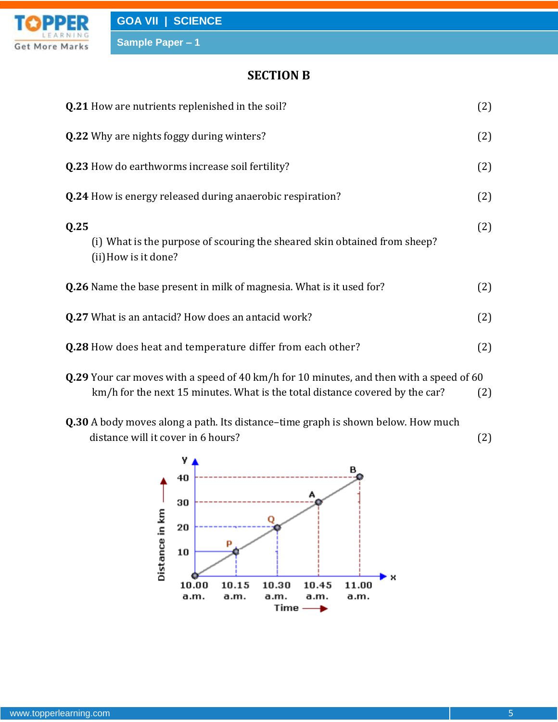

### **SECTION B**

| <b>Q.21</b> How are nutrients replenished in the soil?                                                    | (2) |
|-----------------------------------------------------------------------------------------------------------|-----|
| <b>Q.22</b> Why are nights foggy during winters?                                                          | (2) |
| <b>Q.23</b> How do earthworms increase soil fertility?                                                    | (2) |
| <b>Q.24</b> How is energy released during anaerobic respiration?                                          | (2) |
| Q.25<br>(i) What is the purpose of scouring the sheared skin obtained from sheep?<br>(ii) How is it done? | (2) |
| <b>Q.26</b> Name the base present in milk of magnesia. What is it used for?                               | (2) |
| <b>Q.27</b> What is an antacid? How does an antacid work?                                                 | (2) |
| Q.28 How does heat and temperature differ from each other?                                                | (2) |
|                                                                                                           |     |

- **Q.29** Your car moves with a speed of 40 km/h for 10 minutes, and then with a speed of 60 km/h for the next 15 minutes. What is the total distance covered by the car? (2)
- **Q.30** A body moves along a path. Its distance–time graph is shown below. How much distance will it cover in 6 hours? (2)

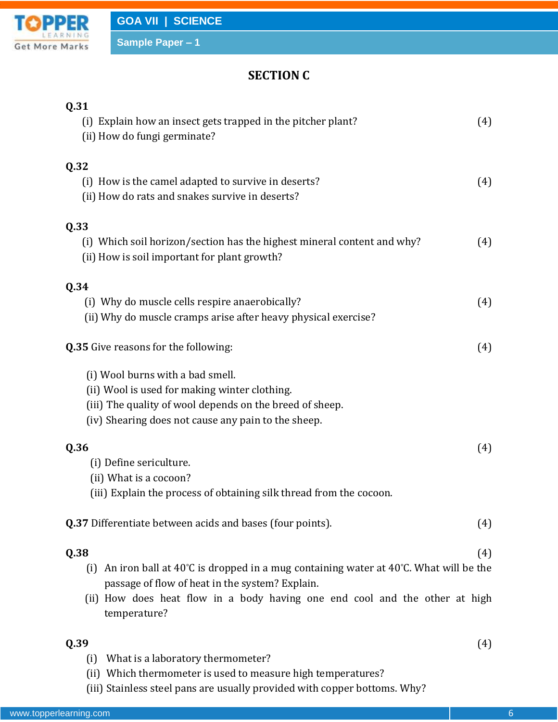

# **SECTION C**

| Q.31                                                                                                                    |     |
|-------------------------------------------------------------------------------------------------------------------------|-----|
| (i) Explain how an insect gets trapped in the pitcher plant?<br>(ii) How do fungi germinate?                            | (4) |
| Q.32                                                                                                                    |     |
| (i) How is the camel adapted to survive in deserts?                                                                     | (4) |
| (ii) How do rats and snakes survive in deserts?                                                                         |     |
| Q.33                                                                                                                    |     |
| (i) Which soil horizon/section has the highest mineral content and why?<br>(ii) How is soil important for plant growth? | (4) |
| Q.34                                                                                                                    |     |
| (i) Why do muscle cells respire anaerobically?                                                                          | (4) |
| (ii) Why do muscle cramps arise after heavy physical exercise?                                                          |     |
| <b>Q.35</b> Give reasons for the following:                                                                             | (4) |
| (i) Wool burns with a bad smell.                                                                                        |     |
| (ii) Wool is used for making winter clothing.                                                                           |     |
| (iii) The quality of wool depends on the breed of sheep.                                                                |     |
| (iv) Shearing does not cause any pain to the sheep.                                                                     |     |
| Q.36                                                                                                                    | (4) |
| (i) Define sericulture.                                                                                                 |     |
| (ii) What is a cocoon?                                                                                                  |     |
| (iii) Explain the process of obtaining silk thread from the cocoon.                                                     |     |
| <b>Q.37</b> Differentiate between acids and bases (four points).                                                        | (4) |
| Q.38                                                                                                                    | (4) |
| An iron ball at $40^{\circ}$ C is dropped in a mug containing water at $40^{\circ}$ C. What will be the<br>(i)          |     |
| passage of flow of heat in the system? Explain.                                                                         |     |
| (ii) How does heat flow in a body having one end cool and the other at high<br>temperature?                             |     |
| Q.39                                                                                                                    | (4) |
| What is a laboratory thermometer?<br>(i)                                                                                |     |
| (ii) Which thermometer is used to measure high temperatures?                                                            |     |

(iii) Stainless steel pans are usually provided with copper bottoms. Why?